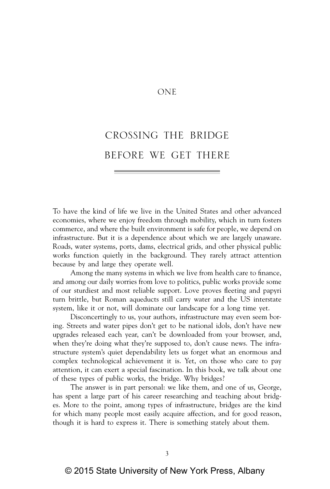## ONE

# CROSSING THE BRIDGE BEFORE WE GET THERE

To have the kind of life we live in the United States and other advanced economies, where we enjoy freedom through mobility, which in turn fosters commerce, and where the built environment is safe for people, we depend on infrastructure. But it is a dependence about which we are largely unaware. Roads, water systems, ports, dams, electrical grids, and other physical public works function quietly in the background. They rarely attract attention because by and large they operate well.

Among the many systems in which we live from health care to finance, and among our daily worries from love to politics, public works provide some of our sturdiest and most reliable support. Love proves fleeting and papyri turn brittle, but Roman aqueducts still carry water and the US interstate system, like it or not, will dominate our landscape for a long time yet.

Disconcertingly to us, your authors, infrastructure may even seem boring. Streets and water pipes don't get to be national idols, don't have new upgrades released each year, can't be downloaded from your browser, and, when they're doing what they're supposed to, don't cause news. The infrastructure system's quiet dependability lets us forget what an enormous and complex technological achievement it is. Yet, on those who care to pay attention, it can exert a special fascination. In this book, we talk about one of these types of public works, the bridge. Why bridges?

The answer is in part personal: we like them, and one of us, George, has spent a large part of his career researching and teaching about bridges. More to the point, among types of infrastructure, bridges are the kind for which many people most easily acquire affection, and for good reason, though it is hard to express it. There is something stately about them.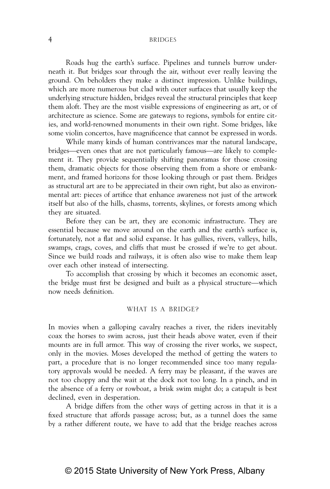Roads hug the earth's surface. Pipelines and tunnels burrow underneath it. But bridges soar through the air, without ever really leaving the ground. On beholders they make a distinct impression. Unlike buildings, which are more numerous but clad with outer surfaces that usually keep the underlying structure hidden, bridges reveal the structural principles that keep them aloft. They are the most visible expressions of engineering as art, or of architecture as science. Some are gateways to regions, symbols for entire cities, and world-renowned monuments in their own right. Some bridges, like some violin concertos, have magnificence that cannot be expressed in words.

While many kinds of human contrivances mar the natural landscape, bridges—even ones that are not particularly famous—are likely to complement it. They provide sequentially shifting panoramas for those crossing them, dramatic objects for those observing them from a shore or embankment, and framed horizons for those looking through or past them. Bridges as structural art are to be appreciated in their own right, but also as environmental art: pieces of artifice that enhance awareness not just of the artwork itself but also of the hills, chasms, torrents, skylines, or forests among which they are situated.

Before they can be art, they are economic infrastructure. They are essential because we move around on the earth and the earth's surface is, fortunately, not a flat and solid expanse. It has gullies, rivers, valleys, hills, swamps, crags, coves, and cliffs that must be crossed if we're to get about. Since we build roads and railways, it is often also wise to make them leap over each other instead of intersecting.

To accomplish that crossing by which it becomes an economic asset, the bridge must first be designed and built as a physical structure—which now needs definition.

## WHAT IS A BRIDGE?

In movies when a galloping cavalry reaches a river, the riders inevitably coax the horses to swim across, just their heads above water, even if their mounts are in full armor. This way of crossing the river works, we suspect, only in the movies. Moses developed the method of getting the waters to part, a procedure that is no longer recommended since too many regulatory approvals would be needed. A ferry may be pleasant, if the waves are not too choppy and the wait at the dock not too long. In a pinch, and in the absence of a ferry or rowboat, a brisk swim might do; a catapult is best declined, even in desperation.

A bridge differs from the other ways of getting across in that it is a fixed structure that affords passage across; but, as a tunnel does the same by a rather different route, we have to add that the bridge reaches across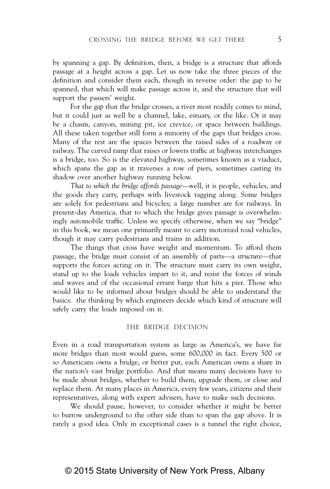by spanning a gap. By definition, then, a bridge is a structure that affords passage at a height across a gap. Let us now take the three pieces of the definition and consider them each, though in reverse order: the gap to be spanned, that which will make passage across it, and the structure that will support the passers' weight.

For the *gap* that the bridge crosses, a river most readily comes to mind, but it could just as well be a channel, lake, estuary, or the like. Or it may be a chasm, canyon, mining pit, ice crevice, or space between buildings. All these taken together still form a minority of the gaps that bridges cross. Many of the rest are the spaces between the raised sides of a roadway or railway. The curved ramp that raises or lowers traffic at highway interchanges is a bridge, too. So is the elevated highway, sometimes known as a viaduct, which spans the gap as it traverses a row of piers, sometimes casting its shadow over another highway running below.

*That to which the bridge affords passage*—well, it is people, vehicles, and the goods they carry, perhaps with livestock tagging along. Some bridges are solely for pedestrians and bicycles; a large number are for railways. In present-day America, that to which the bridge gives passage is overwhelmingly automobile traffic. Unless we specify otherwise, when we say "bridge" in this book, we mean one primarily meant to carry motorized road vehicles, though it may carry pedestrians and trains in addition.

The things that cross have weight and momentum. To afford them passage, the bridge must consist of an assembly of parts—a *structure*—that supports the forces acting on it. The structure must carry its own weight, stand up to the loads vehicles impart to it, and resist the forces of winds and waves and of the occasional errant barge that hits a pier. Those who would like to be informed about bridges should be able to understand the basics: the thinking by which engineers decide which kind of structure will safely carry the loads imposed on it.

#### THE BRIDGE DECISION

Even in a road transportation system as large as America's, we have far more bridges than most would guess, some 600,000 in fact. Every 500 or so Americans owns a bridge, or better put, each American owns a share in the nation's vast bridge portfolio. And that means many decisions have to be made about bridges, whether to build them, upgrade them, or close and replace them. At many places in America, every few years, citizens and their representatives, along with expert advisers, have to make such decisions.

We should pause, however, to consider whether it might be better to burrow underground to the other side than to span the gap above. It is rarely a good idea. Only in exceptional cases is a tunnel the right choice,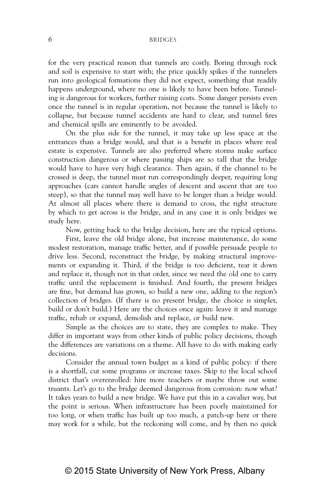for the very practical reason that tunnels are costly. Boring through rock and soil is expensive to start with; the price quickly spikes if the tunnelers run into geological formations they did not expect, something that readily happens underground, where no one is likely to have been before. Tunneling is dangerous for workers, further raising costs. Some danger persists even once the tunnel is in regular operation, not because the tunnel is likely to collapse, but because tunnel accidents are hard to clear, and tunnel fires and chemical spills are eminently to be avoided.

On the plus side for the tunnel, it may take up less space at the entrances than a bridge would, and that is a benefit in places where real estate is expensive. Tunnels are also preferred where storms make surface construction dangerous or where passing ships are so tall that the bridge would have to have very high clearance. Then again, if the channel to be crossed is deep, the tunnel must run correspondingly deeper, requiring long approaches (cars cannot handle angles of descent and ascent that are too steep), so that the tunnel may well have to be longer than a bridge would. At almost all places where there is demand to cross, the right structure by which to get across is the bridge, and in any case it is only bridges we study here.

Now, getting back to the bridge decision, here are the typical options.

First, leave the old bridge alone, but increase maintenance, do some modest restoration, manage traffic better, and if possible persuade people to drive less. Second, reconstruct the bridge, by making structural improvements or expanding it. Third, if the bridge is too deficient, tear it down and replace it, though not in that order, since we need the old one to carry traffic until the replacement is finished. And fourth, the present bridges are fine, but demand has grown, so build a new one, adding to the region's collection of bridges. (If there is no present bridge, the choice is simpler, build or don't build.) Here are the choices once again: leave it and manage traffic, rehab or expand, demolish and replace, or build new.

Simple as the choices are to state, they are complex to make. They differ in important ways from other kinds of public policy decisions, though the differences are variations on a theme. All have to do with making early decisions.

Consider the annual town budget as a kind of public policy: if there is a shortfall, cut some programs or increase taxes. Skip to the local school district that's overenrolled: hire more teachers or maybe throw out some truants. Let's go to the bridge deemed dangerous from corrosion: now what? It takes years to build a new bridge. We have put this in a cavalier way, but the point is serious. When infrastructure has been poorly maintained for too long, or when traffic has built up too much, a patch-up here or there may work for a while, but the reckoning will come, and by then no quick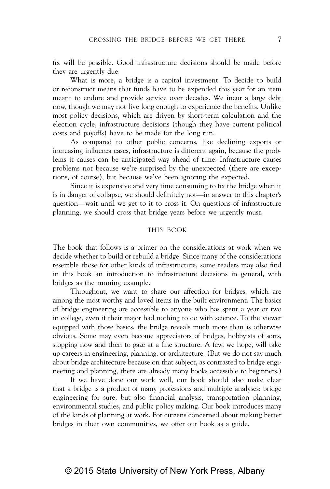fix will be possible. Good infrastructure decisions should be made before they are urgently due.

What is more, a bridge is a capital investment. To decide to build or reconstruct means that funds have to be expended this year for an item meant to endure and provide service over decades. We incur a large debt now, though we may not live long enough to experience the benefits. Unlike most policy decisions, which are driven by short-term calculation and the election cycle, infrastructure decisions (though they have current political costs and payoffs) have to be made for the long run.

As compared to other public concerns, like declining exports or increasing influenza cases, infrastructure is different again, because the problems it causes can be anticipated way ahead of time. Infrastructure causes problems not because we're surprised by the unexpected (there are exceptions, of course), but because we've been ignoring the expected.

Since it is expensive and very time consuming to fix the bridge when it is in danger of collapse, we should definitely not—in answer to this chapter's question—wait until we get to it to cross it. On questions of infrastructure planning, we should cross that bridge years before we urgently must.

#### THIS BOOK

The book that follows is a primer on the considerations at work when we decide whether to build or rebuild a bridge. Since many of the considerations resemble those for other kinds of infrastructure, some readers may also find in this book an introduction to infrastructure decisions in general, with bridges as the running example.

Throughout, we want to share our affection for bridges, which are among the most worthy and loved items in the built environment. The basics of bridge engineering are accessible to anyone who has spent a year or two in college, even if their major had nothing to do with science. To the viewer equipped with those basics, the bridge reveals much more than is otherwise obvious. Some may even become appreciators of bridges, hobbyists of sorts, stopping now and then to gaze at a fine structure. A few, we hope, will take up careers in engineering, planning, or architecture. (But we do not say much about bridge architecture because on that subject, as contrasted to bridge engineering and planning, there are already many books accessible to beginners.)

If we have done our work well, our book should also make clear that a bridge is a product of many professions and multiple analyses: bridge engineering for sure, but also financial analysis, transportation planning, environmental studies, and public policy making. Our book introduces many of the kinds of planning at work. For citizens concerned about making better bridges in their own communities, we offer our book as a guide.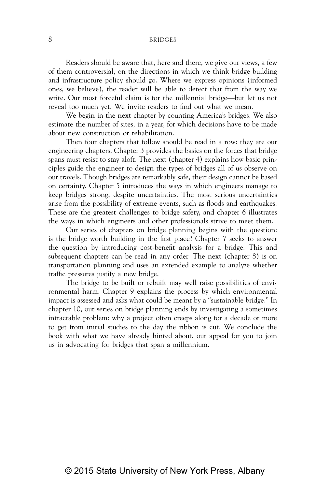Readers should be aware that, here and there, we give our views, a few of them controversial, on the directions in which we think bridge building and infrastructure policy should go. Where we express opinions (informed ones, we believe), the reader will be able to detect that from the way we write. Our most forceful claim is for the millennial bridge—but let us not reveal too much yet. We invite readers to find out what we mean.

We begin in the next chapter by counting America's bridges. We also estimate the number of sites, in a year, for which decisions have to be made about new construction or rehabilitation.

Then four chapters that follow should be read in a row: they are our engineering chapters. Chapter 3 provides the basics on the forces that bridge spans must resist to stay aloft. The next (chapter 4) explains how basic principles guide the engineer to design the types of bridges all of us observe on our travels. Though bridges are remarkably safe, their design cannot be based on certainty. Chapter 5 introduces the ways in which engineers manage to keep bridges strong, despite uncertainties. The most serious uncertainties arise from the possibility of extreme events, such as floods and earthquakes. These are the greatest challenges to bridge safety, and chapter 6 illustrates the ways in which engineers and other professionals strive to meet them.

Our series of chapters on bridge planning begins with the question: is the bridge worth building in the first place? Chapter 7 seeks to answer the question by introducing cost-benefit analysis for a bridge. This and subsequent chapters can be read in any order. The next (chapter 8) is on transportation planning and uses an extended example to analyze whether traffic pressures justify a new bridge.

The bridge to be built or rebuilt may well raise possibilities of environmental harm. Chapter 9 explains the process by which environmental impact is assessed and asks what could be meant by a "sustainable bridge." In chapter 10, our series on bridge planning ends by investigating a sometimes intractable problem: why a project often creeps along for a decade or more to get from initial studies to the day the ribbon is cut. We conclude the book with what we have already hinted about, our appeal for you to join us in advocating for bridges that span a millennium.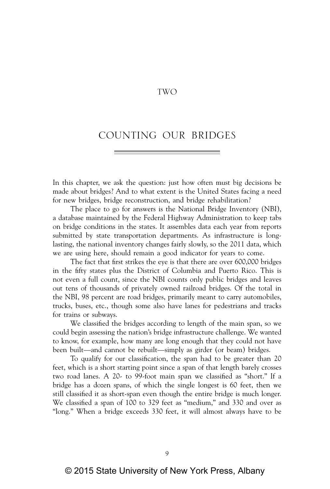## TWO

# COUNTING OUR BRIDGES

In this chapter, we ask the question: just how often must big decisions be made about bridges? And to what extent is the United States facing a need for new bridges, bridge reconstruction, and bridge rehabilitation?

The place to go for answers is the National Bridge Inventory (NBI), a database maintained by the Federal Highway Administration to keep tabs on bridge conditions in the states. It assembles data each year from reports submitted by state transportation departments. As infrastructure is longlasting, the national inventory changes fairly slowly, so the 2011 data, which we are using here, should remain a good indicator for years to come.

The fact that first strikes the eye is that there are over 600,000 bridges in the fifty states plus the District of Columbia and Puerto Rico. This is not even a full count, since the NBI counts only public bridges and leaves out tens of thousands of privately owned railroad bridges. Of the total in the NBI, 98 percent are road bridges, primarily meant to carry automobiles, trucks, buses, etc., though some also have lanes for pedestrians and tracks for trains or subways.

We classified the bridges according to length of the main span, so we could begin assessing the nation's bridge infrastructure challenge. We wanted to know, for example, how many are long enough that they could not have been built—and cannot be rebuilt—simply as girder (or beam) bridges.

To qualify for our classification, the span had to be greater than 20 feet, which is a short starting point since a span of that length barely crosses two road lanes. A 20- to 99-foot main span we classified as "short." If a bridge has a dozen spans, of which the single longest is 60 feet, then we still classified it as short-span even though the entire bridge is much longer. We classified a span of 100 to 329 feet as "medium," and 330 and over as "long." When a bridge exceeds 330 feet, it will almost always have to be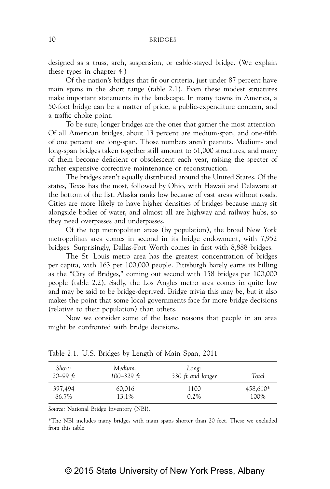designed as a truss, arch, suspension, or cable-stayed bridge. (We explain these types in chapter 4.)

Of the nation's bridges that fit our criteria, just under 87 percent have main spans in the short range (table 2.1). Even these modest structures make important statements in the landscape. In many towns in America, a 50-foot bridge can be a matter of pride, a public-expenditure concern, and a traffic choke point.

To be sure, longer bridges are the ones that garner the most attention. Of all American bridges, about 13 percent are medium-span, and one-fifth of one percent are long-span. Those numbers aren't peanuts. Medium- and long-span bridges taken together still amount to 61,000 structures, and many of them become deficient or obsolescent each year, raising the specter of rather expensive corrective maintenance or reconstruction.

The bridges aren't equally distributed around the United States. Of the states, Texas has the most, followed by Ohio, with Hawaii and Delaware at the bottom of the list. Alaska ranks low because of vast areas without roads. Cities are more likely to have higher densities of bridges because many sit alongside bodies of water, and almost all are highway and railway hubs, so they need overpasses and underpasses.

Of the top metropolitan areas (by population), the broad New York metropolitan area comes in second in its bridge endowment, with 7,952 bridges. Surprisingly, Dallas-Fort Worth comes in first with 8,888 bridges.

The St. Louis metro area has the greatest concentration of bridges per capita, with 163 per 100,000 people. Pittsburgh barely earns its billing as the "City of Bridges," coming out second with 158 bridges per 100,000 people (table 2.2). Sadly, the Los Angles metro area comes in quite low and may be said to be bridge-deprived. Bridge trivia this may be, but it also makes the point that some local governments face far more bridge decisions (relative to their population) than others.

Now we consider some of the basic reasons that people in an area might be confronted with bridge decisions.

| Short:<br>$20 - 99$ ft | Medium:<br>$100 - 329$ ft                         | Long:<br>330 ft and longer | Total    |
|------------------------|---------------------------------------------------|----------------------------|----------|
| 397,494                | 60,016                                            | 1100                       | 458,610* |
| 86.7%                  | 13.1%<br>Source: National Bridge Inventory (NBI). | $0.2\%$                    | 100%     |

Table 2.1. U.S. Bridges by Length of Main Span, 2011

\*The NBI includes many bridges with main spans shorter than 20 feet. These we excluded from this table.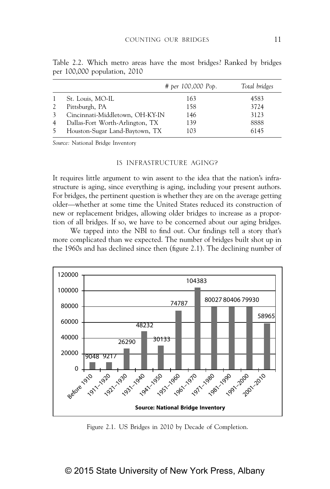|    |                                 | # per 100,000 Pop. | Total bridges |
|----|---------------------------------|--------------------|---------------|
|    | St. Louis, MO-IL                | 163                | 4583          |
| 2  | Pittsburgh, PA                  | 158                | 3724          |
| 3  | Cincinnati-Middletown, OH-KY-IN | 146                | 3123          |
| 4  | Dallas-Fort Worth-Arlington, TX | 139                | 8888          |
| -5 | Houston-Sugar Land-Baytown, TX  | 103                | 6145          |

Table 2.2. Which metro areas have the most bridges? Ranked by bridges per 100,000 population, 2010

*Source:* National Bridge Inventory

#### IS INFRASTRUCTURE AGING?

It requires little argument to win assent to the idea that the nation's infrastructure is aging, since everything is aging, including your present authors. For bridges, the pertinent question is whether they are on the average getting older—whether at some time the United States reduced its construction of new or replacement bridges, allowing older bridges to increase as a proportion of all bridges. If so, we have to be concerned about our aging bridges.

We tapped into the NBI to find out. Our findings tell a story that's more complicated than we expected. The number of bridges built shot up in the 1960s and has declined since then (figure 2.1). The declining number of



Figure 2.1. US Bridges in 2010 by Decade of Completion.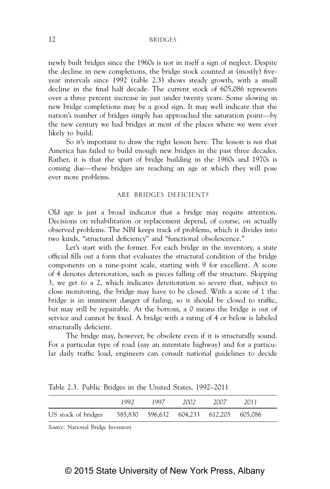newly built bridges since the 1960s is not in itself a sign of neglect. Despite the decline in new completions, the bridge stock counted at (mostly) fiveyear intervals since 1992 (table 2.3) shows steady growth, with a small decline in the final half decade. The current stock of 605,086 represents over a three percent increase in just under twenty years. Some slowing in new bridge completions may be a good sign. It may well indicate that the nation's number of bridges simply has approached the saturation point—by the new century we had bridges at most of the places where we were ever likely to build.

So it's important to draw the right lesson here. The lesson is *not* that America has failed to build enough new bridges in the past three decades. Rather, it is that the spurt of bridge building in the 1960s and 1970s is coming due—these bridges are reaching an age at which they will pose ever more problems.

### ARE BRIDGES DEFICIENT?

Old age is just a broad indicator that a bridge may require attention. Decisions on rehabilitation or replacement depend, of course, on actually observed problems. The NBI keeps track of problems, which it divides into two kinds, "structural deficiency" and "functional obsolescence."

Let's start with the former. For each bridge in the inventory, a state official fills out a form that evaluates the structural condition of the bridge components on a nine-point scale, starting with 9 for excellent. A score of 4 denotes deterioration, such as pieces falling off the structure. Skipping 3, we get to a 2, which indicates deterioration so severe that, subject to close monitoring, the bridge may have to be closed. With a score of 1 the bridge is in imminent danger of failing, so it should be closed to traffic, but may still be repairable. At the bottom, a 0 means the bridge is out of service and cannot be fixed. A bridge with a rating of 4 or below is labeled structurally deficient.

The bridge may, however, be obsolete even if it is structurally sound. For a particular type of road (say an interstate highway) and for a particular daily traffic load, engineers can consult national guidelines to decide

| Table 2.3. Public Bridges in the United States, 1992-2011 |  |  |  |  |  |  |  |  |  |
|-----------------------------------------------------------|--|--|--|--|--|--|--|--|--|
|-----------------------------------------------------------|--|--|--|--|--|--|--|--|--|

|                     | 1992 | 1997 | 2002                                    | 2007 | 2011 |  |
|---------------------|------|------|-----------------------------------------|------|------|--|
| US stock of bridges |      |      | 585,830 596,632 604,233 612,205 605,086 |      |      |  |

*Source:* National Bridge Inventory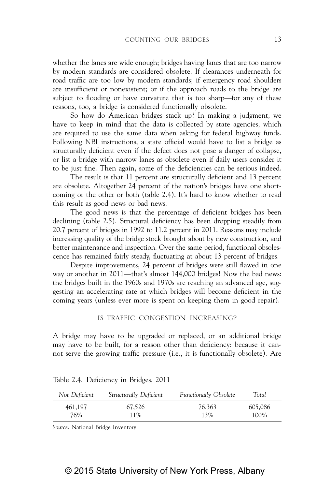whether the lanes are wide enough; bridges having lanes that are too narrow by modern standards are considered obsolete. If clearances underneath for road traffic are too low by modern standards; if emergency road shoulders are insufficient or nonexistent; or if the approach roads to the bridge are subject to flooding or have curvature that is too sharp—for any of these reasons, too, a bridge is considered functionally obsolete.

So how do American bridges stack up? In making a judgment, we have to keep in mind that the data is collected by state agencies, which are required to use the same data when asking for federal highway funds. Following NBI instructions, a state official would have to list a bridge as structurally deficient even if the defect does not pose a danger of collapse, or list a bridge with narrow lanes as obsolete even if daily users consider it to be just fine. Then again, some of the deficiencies can be serious indeed.

The result is that 11 percent are structurally deficient and 13 percent are obsolete. Altogether 24 percent of the nation's bridges have one shortcoming or the other or both (table 2.4). It's hard to know whether to read this result as good news or bad news.

The good news is that the percentage of deficient bridges has been declining (table 2.5). Structural deficiency has been dropping steadily from 20.7 percent of bridges in 1992 to 11.2 percent in 2011. Reasons may include increasing quality of the bridge stock brought about by new construction, and better maintenance and inspection. Over the same period, functional obsolescence has remained fairly steady, fluctuating at about 13 percent of bridges.

Despite improvements, 24 percent of bridges were still flawed in one way or another in 2011—that's almost 144,000 bridges! Now the bad news: the bridges built in the 1960s and 1970s are reaching an advanced age, suggesting an accelerating rate at which bridges will become deficient in the coming years (unless ever more is spent on keeping them in good repair).

#### IS TRAFFIC CONGESTION INCREASING?

A bridge may have to be upgraded or replaced, or an additional bridge may have to be built, for a reason other than deficiency: because it cannot serve the growing traffic pressure (i.e., it is functionally obsolete). Are

| Not Deficient | Structurally Deficient | <b>Functionally Obsolete</b> | Total   |
|---------------|------------------------|------------------------------|---------|
| 461,197       | 67,526                 | 76,363                       | 605,086 |
| 76%           | 11%                    | 13%                          | 100%    |

Table 2.4. Deficiency in Bridges, 2011

*Source:* National Bridge Inventory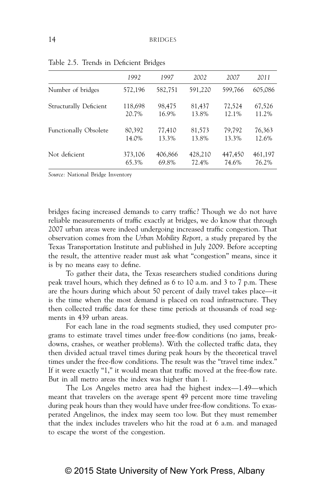|                              | 1992    | 1997    | 2002    | 2007    | 2011    |
|------------------------------|---------|---------|---------|---------|---------|
| Number of bridges            | 572,196 | 582,751 | 591,220 | 599,766 | 605,086 |
| Structurally Deficient       | 118,698 | 98,475  | 81,437  | 72,524  | 67,526  |
|                              | 20.7%   | 16.9%   | 13.8%   | 12.1%   | 11.2%   |
| <b>Functionally Obsolete</b> | 80,392  | 77,410  | 81,573  | 79,792  | 76,363  |
|                              | 14.0%   | 13.3%   | 13.8%   | 13.3%   | 12.6%   |
| Not deficient                | 373,106 | 406,866 | 428,210 | 447,450 | 461,197 |
|                              | 65.3%   | 69.8%   | 72.4%   | 74.6%   | 76.2%   |

Table 2.5. Trends in Deficient Bridges

*Source:* National Bridge Inventory

bridges facing increased demands to carry traffic? Though we do not have reliable measurements of traffic exactly at bridges, we do know that through 2007 urban areas were indeed undergoing increased traffic congestion. That observation comes from the *Urban Mobility Report,* a study prepared by the Texas Transportation Institute and published in July 2009. Before accepting the result, the attentive reader must ask what "congestion" means, since it is by no means easy to define.

To gather their data, the Texas researchers studied conditions during peak travel hours, which they defined as 6 to 10 a.m. and 3 to 7 p.m. These are the hours during which about 50 percent of daily travel takes place—it is the time when the most demand is placed on road infrastructure. They then collected traffic data for these time periods at thousands of road segments in 439 urban areas.

For each lane in the road segments studied, they used computer programs to estimate travel times under free-flow conditions (no jams, breakdowns, crashes, or weather problems). With the collected traffic data, they then divided actual travel times during peak hours by the theoretical travel times under the free-flow conditions. The result was the "travel time index." If it were exactly "1," it would mean that traffic moved at the free-flow rate. But in all metro areas the index was higher than 1.

The Los Angeles metro area had the highest index—1.49—which meant that travelers on the average spent 49 percent more time traveling during peak hours than they would have under free-flow conditions. To exasperated Angelinos, the index may seem too low. But they must remember that the index includes travelers who hit the road at 6 a.m. and managed to escape the worst of the congestion.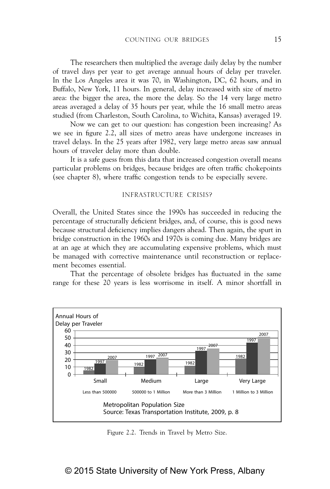The researchers then multiplied the average daily delay by the number of travel days per year to get average annual hours of delay per traveler. In the Los Angeles area it was 70, in Washington, DC, 62 hours, and in Buffalo, New York, 11 hours. In general, delay increased with size of metro area: the bigger the area, the more the delay. So the 14 very large metro areas averaged a delay of 35 hours per year, while the 16 small metro areas studied (from Charleston, South Carolina, to Wichita, Kansas) averaged 19.

Now we can get to our question: has congestion been increasing? As we see in figure 2.2, all sizes of metro areas have undergone increases in travel delays. In the 25 years after 1982, very large metro areas saw annual hours of traveler delay more than double.

It is a safe guess from this data that increased congestion overall means particular problems on bridges, because bridges are often traffic chokepoints (see chapter 8), where traffic congestion tends to be especially severe.

## INFRASTRUCTURE CRISIS?

Overall, the United States since the 1990s has succeeded in reducing the percentage of structurally deficient bridges, and, of course, this is good news because structural deficiency implies dangers ahead. Then again, the spurt in bridge construction in the 1960s and 1970s is coming due. Many bridges are at an age at which they are accumulating expensive problems, which must be managed with corrective maintenance until reconstruction or replacement becomes essential.

That the percentage of obsolete bridges has fluctuated in the same range for these 20 years is less worrisome in itself. A minor shortfall in



Figure 2.2. Trends in Travel by Metro Size.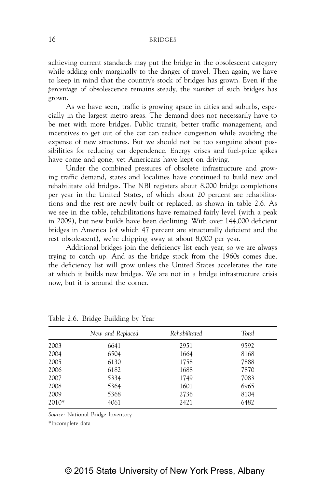achieving current standards may put the bridge in the obsolescent category while adding only marginally to the danger of travel. Then again, we have to keep in mind that the country's stock of bridges has grown. Even if the *percentage* of obsolescence remains steady, the *number* of such bridges has grown.

As we have seen, traffic is growing apace in cities and suburbs, especially in the largest metro areas. The demand does not necessarily have to be met with more bridges. Public transit, better traffic management, and incentives to get out of the car can reduce congestion while avoiding the expense of new structures. But we should not be too sanguine about possibilities for reducing car dependence. Energy crises and fuel-price spikes have come and gone, yet Americans have kept on driving.

Under the combined pressures of obsolete infrastructure and growing traffic demand, states and localities have continued to build new and rehabilitate old bridges. The NBI registers about 8,000 bridge completions per year in the United States, of which about 20 percent are rehabilitations and the rest are newly built or replaced, as shown in table 2.6. As we see in the table, rehabilitations have remained fairly level (with a peak in 2009), but new builds have been declining. With over 144,000 deficient bridges in America (of which 47 percent are structurally deficient and the rest obsolescent), we're chipping away at about 8,000 per year.

Additional bridges join the deficiency list each year, so we are always trying to catch up. And as the bridge stock from the 1960s comes due, the deficiency list will grow unless the United States accelerates the rate at which it builds new bridges. We are not in a bridge infrastructure crisis now, but it is around the corner.

|       | New and Replaced | Rehabilitated | Total |
|-------|------------------|---------------|-------|
| 2003  | 6641             | 2951          | 9592  |
| 2004  | 6504             | 1664          | 8168  |
| 2005  | 6130             | 1758          | 7888  |
| 2006  | 6182             | 1688          | 7870  |
| 2007  | 5334             | 1749          | 7083  |
| 2008  | 5364             | 1601          | 6965  |
| 2009  | 5368             | 2736          | 8104  |
| 2010* | 4061             | 2421          | 6482  |

Table 2.6. Bridge Building by Year

*Source:* National Bridge Inventory

\*Incomplete data